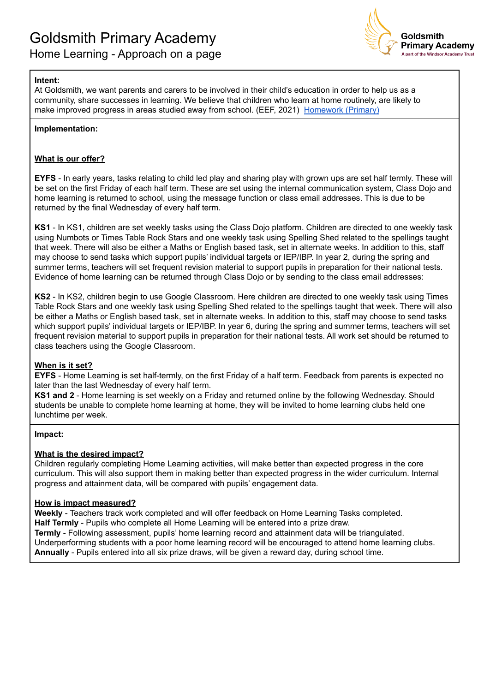

# **Intent:**

At Goldsmith, we want parents and carers to be involved in their child's education in order to help us as a community, share successes in learning. We believe that children who learn at home routinely, are likely to make improved progress in areas studied away from school. (EEF, 2021) [Homework](https://educationendowmentfoundation.org.uk/pdf/generate/?u=https://educationendowmentfoundation.org.uk/pdf/toolkit/?id=132&t=Teaching%20and%20Learning%20Toolkit&e=132&s=) (Primary)

### **Implementation:**

### **What is our offer?**

**EYFS** - In early years, tasks relating to child led play and sharing play with grown ups are set half termly. These will be set on the first Friday of each half term. These are set using the internal communication system, Class Dojo and home learning is returned to school, using the message function or class email addresses. This is due to be returned by the final Wednesday of every half term.

**KS1** - In KS1, children are set weekly tasks using the Class Dojo platform. Children are directed to one weekly task using Numbots or Times Table Rock Stars and one weekly task using Spelling Shed related to the spellings taught that week. There will also be either a Maths or English based task, set in alternate weeks. In addition to this, staff may choose to send tasks which support pupils' individual targets or IEP/IBP. In year 2, during the spring and summer terms, teachers will set frequent revision material to support pupils in preparation for their national tests. Evidence of home learning can be returned through Class Dojo or by sending to the class email addresses:

**KS2** - In KS2, children begin to use Google Classroom. Here children are directed to one weekly task using Times Table Rock Stars and one weekly task using Spelling Shed related to the spellings taught that week. There will also be either a Maths or English based task, set in alternate weeks. In addition to this, staff may choose to send tasks which support pupils' individual targets or IEP/IBP. In year 6, during the spring and summer terms, teachers will set frequent revision material to support pupils in preparation for their national tests. All work set should be returned to class teachers using the Google Classroom.

#### **When is it set?**

**EYFS** - Home Learning is set half-termly, on the first Friday of a half term. Feedback from parents is expected no later than the last Wednesday of every half term.

**KS1 and 2** - Home learning is set weekly on a Friday and returned online by the following Wednesday. Should students be unable to complete home learning at home, they will be invited to home learning clubs held one lunchtime per week.

#### **Impact:**

# **What is the desired impact?**

Children regularly completing Home Learning activities, will make better than expected progress in the core curriculum. This will also support them in making better than expected progress in the wider curriculum. Internal progress and attainment data, will be compared with pupils' engagement data.

### **How is impact measured?**

**Weekly** - Teachers track work completed and will offer feedback on Home Learning Tasks completed. **Half Termly** - Pupils who complete all Home Learning will be entered into a prize draw. **Termly** - Following assessment, pupils' home learning record and attainment data will be triangulated. Underperforming students with a poor home learning record will be encouraged to attend home learning clubs. **Annually** - Pupils entered into all six prize draws, will be given a reward day, during school time.